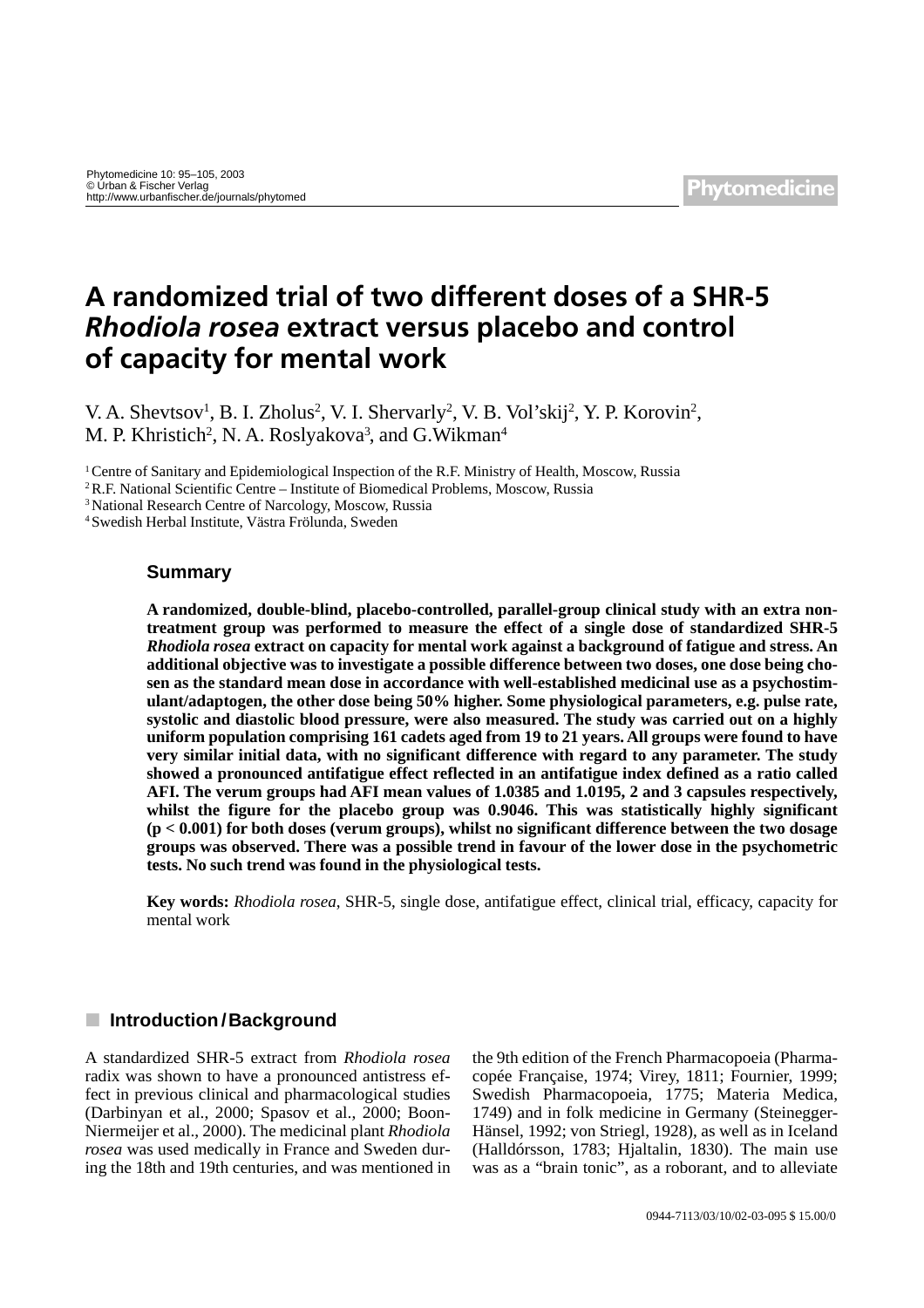# **A randomized trial of two different doses of a SHR-5**  *Rhodiola rosea* **extract versus placebo and control of capacity for mental work**

V. A. Shevtsov<sup>1</sup>, B. I. Zholus<sup>2</sup>, V. I. Shervarly<sup>2</sup>, V. B. Vol'skij<sup>2</sup>, Y. P. Korovin<sup>2</sup>, M. P. Khristich<sup>2</sup>, N. A. Roslyakova<sup>3</sup>, and G. Wikman<sup>4</sup>

1 Centre of Sanitary and Epidemiological Inspection of the R.F. Ministry of Health, Moscow, Russia

2 R.F. National Scientific Centre – Institute of Biomedical Problems, Moscow, Russia

3 National Research Centre of Narcology, Moscow, Russia

4 Swedish Herbal Institute, Västra Frölunda, Sweden

## **Summary**

**A randomized, double-blind, placebo-controlled, parallel-group clinical study with an extra nontreatment group was performed to measure the effect of a single dose of standardized SHR-5**  *Rhodiola rosea* **extract on capacity for mental work against a background of fatigue and stress. An additional objective was to investigate a possible difference between two doses, one dose being chosen as the standard mean dose in accordance with well-established medicinal use as a psychostimulant/adaptogen, the other dose being 50% higher. Some physiological parameters, e.g. pulse rate, systolic and diastolic blood pressure, were also measured. The study was carried out on a highly uniform population comprising 161 cadets aged from 19 to 21 years. All groups were found to have very similar initial data, with no significant difference with regard to any parameter. The study showed a pronounced antifatigue effect reflected in an antifatigue index defined as a ratio called AFI. The verum groups had AFI mean values of 1.0385 and 1.0195, 2 and 3 capsules respectively, whilst the figure for the placebo group was 0.9046. This was statistically highly significant (p < 0.001) for both doses (verum groups), whilst no significant difference between the two dosage groups was observed. There was a possible trend in favour of the lower dose in the psychometric tests. No such trend was found in the physiological tests.**

**Key words:** *Rhodiola rosea*, SHR-5, single dose, antifatigue effect, clinical trial, efficacy, capacity for mental work

# **■ Introduction/Background**

A standardized SHR-5 extract from *Rhodiola rosea* radix was shown to have a pronounced antistress effect in previous clinical and pharmacological studies (Darbinyan et al., 2000; Spasov et al., 2000; Boon-Niermeijer et al., 2000). The medicinal plant *Rhodiola rosea* was used medically in France and Sweden during the 18th and 19th centuries, and was mentioned in the 9th edition of the French Pharmacopoeia (Pharmacopée Française, 1974; Virey, 1811; Fournier, 1999; Swedish Pharmacopoeia, 1775; Materia Medica, 1749) and in folk medicine in Germany (Steinegger-Hänsel, 1992; von Striegl, 1928), as well as in Iceland (Halldórsson, 1783; Hjaltalin, 1830). The main use was as a "brain tonic", as a roborant, and to alleviate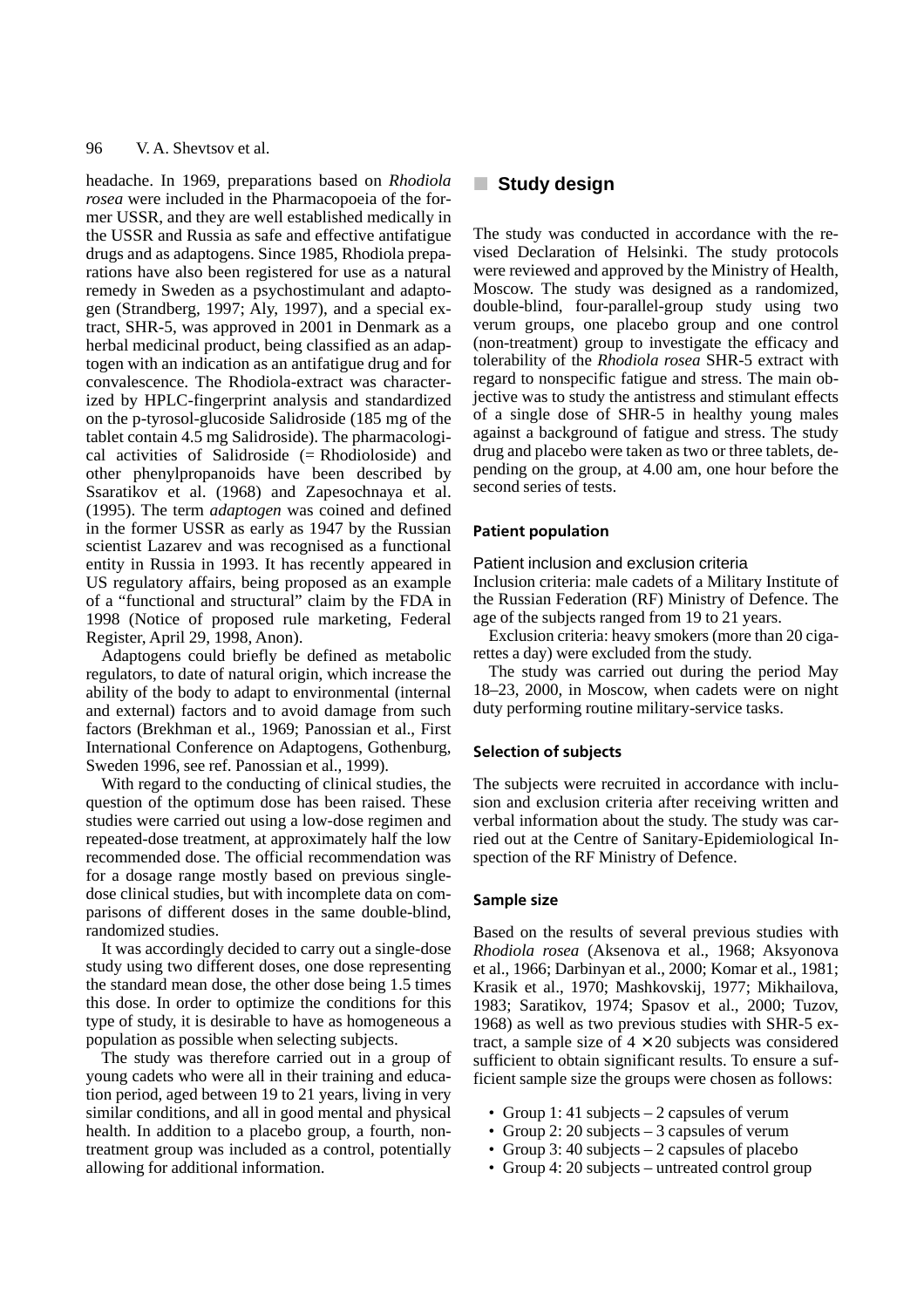headache. In 1969, preparations based on *Rhodiola rosea* were included in the Pharmacopoeia of the former USSR, and they are well established medically in the USSR and Russia as safe and effective antifatigue drugs and as adaptogens. Since 1985, Rhodiola preparations have also been registered for use as a natural remedy in Sweden as a psychostimulant and adaptogen (Strandberg, 1997; Aly, 1997), and a special extract, SHR-5, was approved in 2001 in Denmark as a herbal medicinal product, being classified as an adaptogen with an indication as an antifatigue drug and for convalescence. The Rhodiola-extract was characterized by HPLC-fingerprint analysis and standardized on the p-tyrosol-glucoside Salidroside (185 mg of the tablet contain 4.5 mg Salidroside). The pharmacological activities of Salidroside (= Rhodioloside) and other phenylpropanoids have been described by Ssaratikov et al. (1968) and Zapesochnaya et al. (1995). The term *adaptogen* was coined and defined in the former USSR as early as 1947 by the Russian scientist Lazarev and was recognised as a functional entity in Russia in 1993. It has recently appeared in US regulatory affairs, being proposed as an example of a "functional and structural" claim by the FDA in 1998 (Notice of proposed rule marketing, Federal Register, April 29, 1998, Anon).

Adaptogens could briefly be defined as metabolic regulators, to date of natural origin, which increase the ability of the body to adapt to environmental (internal and external) factors and to avoid damage from such factors (Brekhman et al., 1969; Panossian et al., First International Conference on Adaptogens, Gothenburg, Sweden 1996, see ref. Panossian et al., 1999).

With regard to the conducting of clinical studies, the question of the optimum dose has been raised. These studies were carried out using a low-dose regimen and repeated-dose treatment, at approximately half the low recommended dose. The official recommendation was for a dosage range mostly based on previous singledose clinical studies, but with incomplete data on comparisons of different doses in the same double-blind, randomized studies.

It was accordingly decided to carry out a single-dose study using two different doses, one dose representing the standard mean dose, the other dose being 1.5 times this dose. In order to optimize the conditions for this type of study, it is desirable to have as homogeneous a population as possible when selecting subjects.

The study was therefore carried out in a group of young cadets who were all in their training and education period, aged between 19 to 21 years, living in very similar conditions, and all in good mental and physical health. In addition to a placebo group, a fourth, nontreatment group was included as a control, potentially allowing for additional information.

# **E** Study design

The study was conducted in accordance with the revised Declaration of Helsinki. The study protocols were reviewed and approved by the Ministry of Health, Moscow. The study was designed as a randomized, double-blind, four-parallel-group study using two verum groups, one placebo group and one control (non-treatment) group to investigate the efficacy and tolerability of the *Rhodiola rosea* SHR-5 extract with regard to nonspecific fatigue and stress. The main objective was to study the antistress and stimulant effects of a single dose of SHR-5 in healthy young males against a background of fatigue and stress. The study drug and placebo were taken as two or three tablets, depending on the group, at 4.00 am, one hour before the second series of tests.

#### **Patient population**

#### Patient inclusion and exclusion criteria

Inclusion criteria: male cadets of a Military Institute of the Russian Federation (RF) Ministry of Defence. The age of the subjects ranged from 19 to 21 years.

Exclusion criteria: heavy smokers (more than 20 cigarettes a day) were excluded from the study.

The study was carried out during the period May 18–23, 2000, in Moscow, when cadets were on night duty performing routine military-service tasks.

#### **Selection of subjects**

The subjects were recruited in accordance with inclusion and exclusion criteria after receiving written and verbal information about the study. The study was carried out at the Centre of Sanitary-Epidemiological Inspection of the RF Ministry of Defence.

#### **Sample size**

Based on the results of several previous studies with *Rhodiola rosea* (Aksenova et al., 1968; Aksyonova et al., 1966; Darbinyan et al., 2000; Komar et al., 1981; Krasik et al., 1970; Mashkovskij, 1977; Mikhailova, 1983; Saratikov, 1974; Spasov et al., 2000; Tuzov, 1968) as well as two previous studies with SHR-5 extract, a sample size of  $4 \times 20$  subjects was considered sufficient to obtain significant results. To ensure a sufficient sample size the groups were chosen as follows:

- Group 1: 41 subjects 2 capsules of verum
- Group 2: 20 subjects 3 capsules of verum
- Group 3: 40 subjects 2 capsules of placebo
- Group 4: 20 subjects untreated control group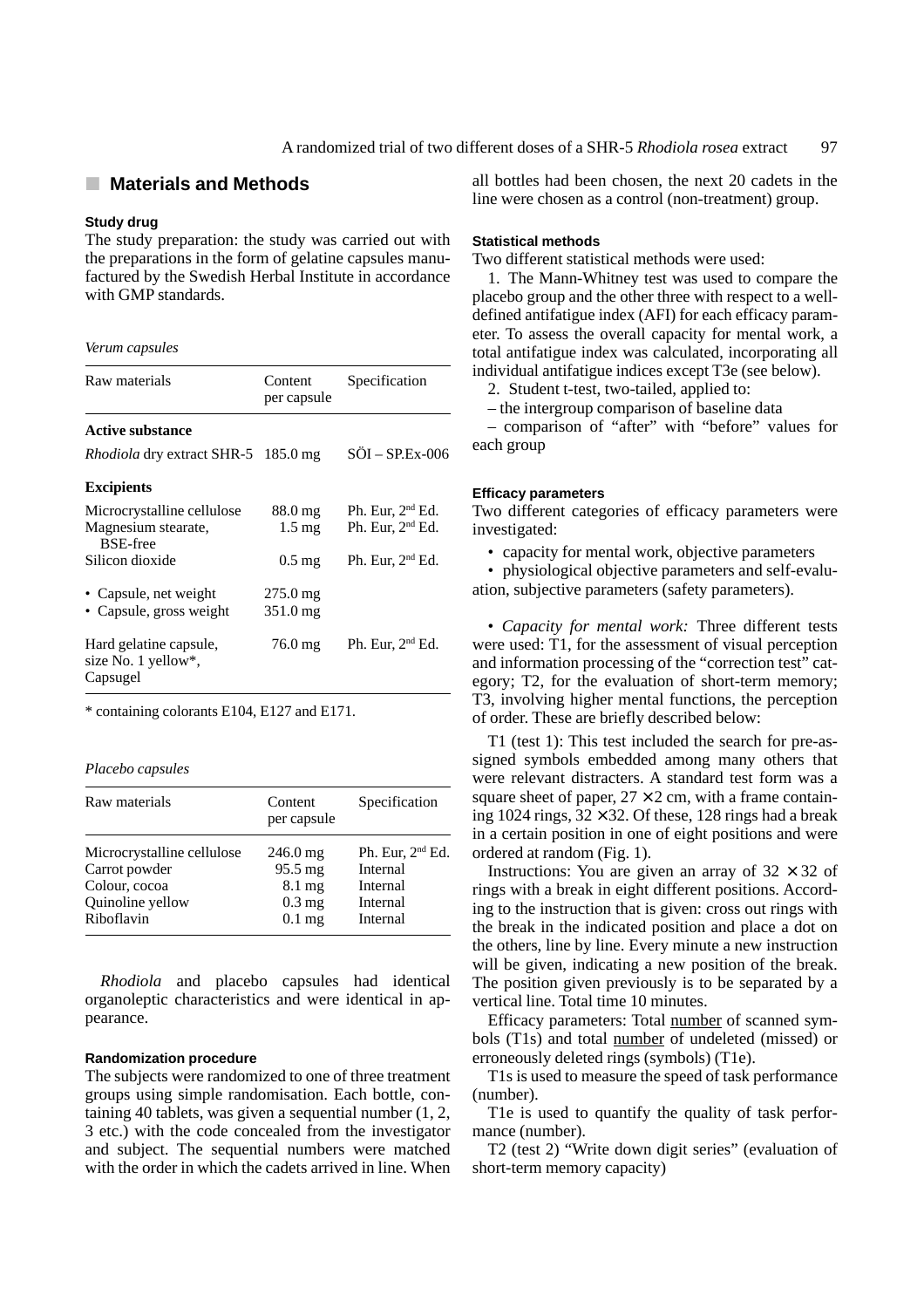## **E** Materials and Methods

## **Study drug**

The study preparation: the study was carried out with the preparations in the form of gelatine capsules manufactured by the Swedish Herbal Institute in accordance with GMP standards.

#### *Verum capsules*

| Raw materials                                                        | Content<br>per capsule                         | Specification                            |  |  |
|----------------------------------------------------------------------|------------------------------------------------|------------------------------------------|--|--|
| <b>Active substance</b>                                              |                                                |                                          |  |  |
| <i>Rhodiola</i> dry extract SHR-5 185.0 mg                           |                                                | $S\ddot{O}I - SP.Ex-006$                 |  |  |
| <b>Excipients</b>                                                    |                                                |                                          |  |  |
| Microcrystalline cellulose<br>Magnesium stearate,<br><b>BSE-free</b> | $88.0 \,\mathrm{mg}$<br>$1.5 \text{ mg}$       | Ph. Eur, $2nd$ Ed.<br>Ph. Eur, $2nd$ Ed. |  |  |
| Silicon dioxide                                                      | $0.5 \,\mathrm{mg}$                            | Ph. Eur, $2nd$ Ed.                       |  |  |
| • Capsule, net weight<br>• Capsule, gross weight                     | $275.0 \,\mathrm{mg}$<br>$351.0 \,\mathrm{mg}$ |                                          |  |  |
| Hard gelatine capsule,<br>size No. 1 yellow*,<br>Capsugel            | $76.0 \,\mathrm{mg}$                           | Ph. Eur, $2nd$ Ed.                       |  |  |

\* containing colorants E104, E127 and E171.

#### *Placebo capsules*

| Raw materials              | Content<br>per capsule | Specification       |
|----------------------------|------------------------|---------------------|
| Microcrystalline cellulose | $246.0 \,\mathrm{mg}$  | Ph. Eur, $2nd Ed$ . |
| Carrot powder              | $95.5 \text{ mg}$      | Internal            |
| Colour, cocoa              | 8.1 mg                 | Internal            |
| Quinoline yellow           | $0.3 \text{ mg}$       | Internal            |
| Riboflavin                 | $0.1$ mg               | Internal            |

*Rhodiola* and placebo capsules had identical organoleptic characteristics and were identical in appearance.

#### **Randomization procedure**

The subjects were randomized to one of three treatment groups using simple randomisation. Each bottle, containing 40 tablets, was given a sequential number (1, 2, 3 etc.) with the code concealed from the investigator and subject. The sequential numbers were matched with the order in which the cadets arrived in line. When all bottles had been chosen, the next 20 cadets in the line were chosen as a control (non-treatment) group.

## **Statistical methods**

Two different statistical methods were used:

1. The Mann-Whitney test was used to compare the placebo group and the other three with respect to a welldefined antifatigue index (AFI) for each efficacy parameter. To assess the overall capacity for mental work, a total antifatigue index was calculated, incorporating all individual antifatigue indices except T3e (see below).

2. Student t-test, two-tailed, applied to:

– the intergroup comparison of baseline data

– comparison of "after" with "before" values for each group

## **Efficacy parameters**

Two different categories of efficacy parameters were investigated:

• capacity for mental work, objective parameters

• physiological objective parameters and self-evaluation, subjective parameters (safety parameters).

• *Capacity for mental work:* Three different tests were used: T1, for the assessment of visual perception and information processing of the "correction test" category; T2, for the evaluation of short-term memory; T3, involving higher mental functions, the perception of order. These are briefly described below:

T1 (test 1): This test included the search for pre-assigned symbols embedded among many others that were relevant distracters. A standard test form was a square sheet of paper,  $27 \times 2$  cm, with a frame containing 1024 rings,  $32 \times 32$ . Of these, 128 rings had a break in a certain position in one of eight positions and were ordered at random (Fig. 1).

Instructions: You are given an array of  $32 \times 32$  of rings with a break in eight different positions. According to the instruction that is given: cross out rings with the break in the indicated position and place a dot on the others, line by line. Every minute a new instruction will be given, indicating a new position of the break. The position given previously is to be separated by a vertical line. Total time 10 minutes.

Efficacy parameters: Total number of scanned symbols (T1s) and total number of undeleted (missed) or erroneously deleted rings (symbols) (T1e).

T1s is used to measure the speed of task performance (number).

T1e is used to quantify the quality of task performance (number).

T2 (test 2) "Write down digit series" (evaluation of short-term memory capacity)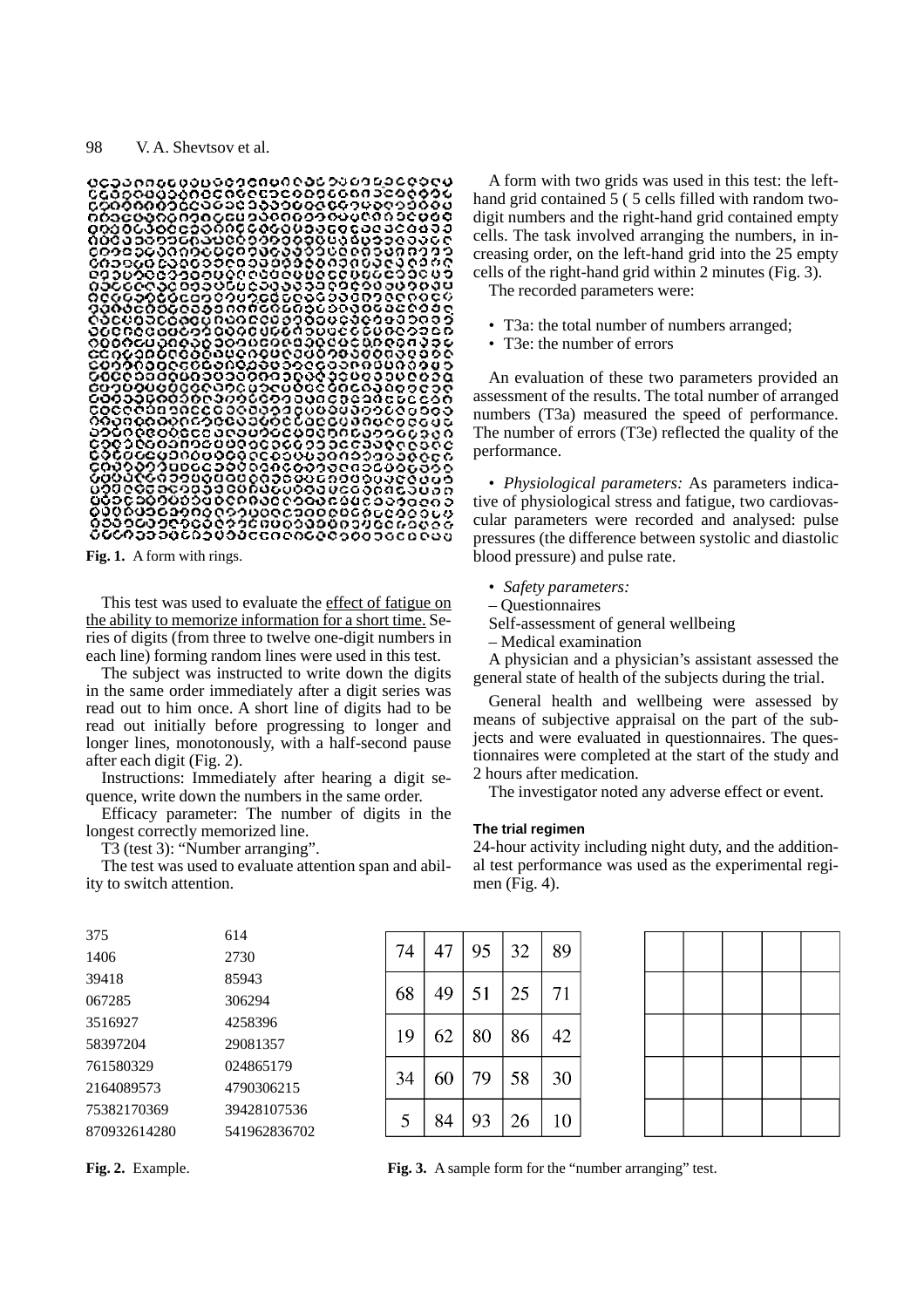

**Fig. 1.** A form with rings.

This test was used to evaluate the effect of fatigue on the ability to memorize information for a short time. Series of digits (from three to twelve one-digit numbers in each line) forming random lines were used in this test.

The subject was instructed to write down the digits in the same order immediately after a digit series was read out to him once. A short line of digits had to be read out initially before progressing to longer and longer lines, monotonously, with a half-second pause after each digit (Fig. 2).

Instructions: Immediately after hearing a digit sequence, write down the numbers in the same order.

Efficacy parameter: The number of digits in the longest correctly memorized line.

T3 (test 3): "Number arranging".

The test was used to evaluate attention span and ability to switch attention.

A form with two grids was used in this test: the lefthand grid contained 5 ( 5 cells filled with random twodigit numbers and the right-hand grid contained empty cells. The task involved arranging the numbers, in increasing order, on the left-hand grid into the 25 empty cells of the right-hand grid within 2 minutes (Fig. 3).

The recorded parameters were:

- T3a: the total number of numbers arranged;
- T3e: the number of errors

An evaluation of these two parameters provided an assessment of the results. The total number of arranged numbers (T3a) measured the speed of performance. The number of errors (T3e) reflected the quality of the performance.

• *Physiological parameters:* As parameters indicative of physiological stress and fatigue, two cardiovascular parameters were recorded and analysed: pulse pressures (the difference between systolic and diastolic blood pressure) and pulse rate.

- *Safety parameters:*
- Questionnaires
- Self-assessment of general wellbeing
- Medical examination

A physician and a physician's assistant assessed the general state of health of the subjects during the trial.

General health and wellbeing were assessed by means of subjective appraisal on the part of the subjects and were evaluated in questionnaires. The questionnaires were completed at the start of the study and 2 hours after medication.

The investigator noted any adverse effect or event.

### **The trial regimen**

24-hour activity including night duty, and the additional test performance was used as the experimental regimen (Fig. 4).

| 375          | 614          |
|--------------|--------------|
| 1406         | 2730         |
| 39418        | 85943        |
| 067285       | 306294       |
| 3516927      | 4258396      |
| 58397204     | 29081357     |
| 761580329    | 024865179    |
| 2164089573   | 4790306215   |
| 75382170369  | 39428107536  |
| 870932614280 | 541962836702 |
|              |              |



**Fig. 2.** Example. **Fig. 3.** A sample form for the "number arranging" test.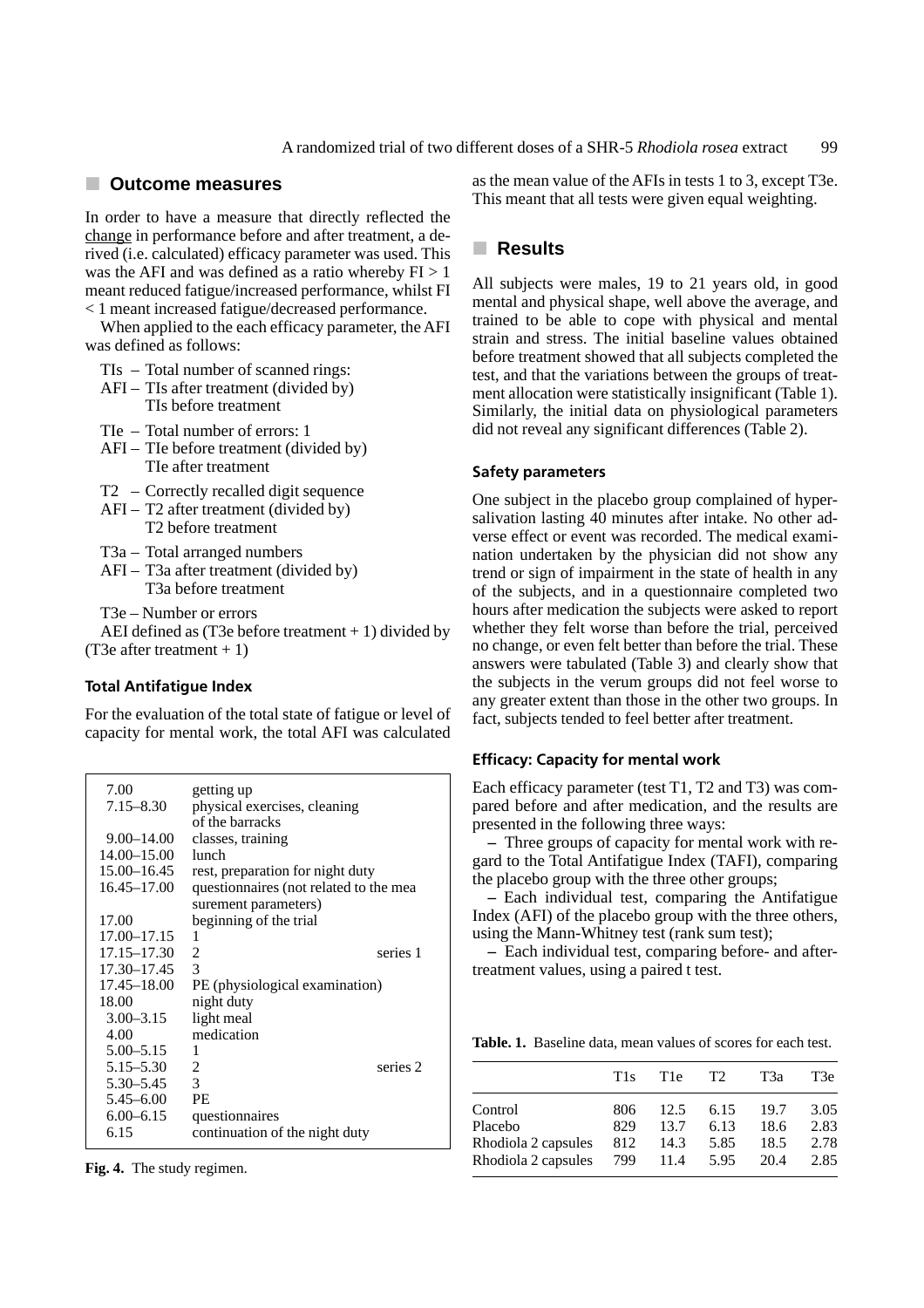## j **Outcome measures**

In order to have a measure that directly reflected the change in performance before and after treatment, a derived (i.e. calculated) efficacy parameter was used. This was the AFI and was defined as a ratio whereby  $FI > 1$ meant reduced fatigue/increased performance, whilst FI < 1 meant increased fatigue/decreased performance.

When applied to the each efficacy parameter, the AFI was defined as follows:

TIs – Total number of scanned rings:

AFI – TIs after treatment (divided by) TIs before treatment

TIe – Total number of errors: 1

- AFI TIe before treatment (divided by) TIe after treatment
- T2 Correctly recalled digit sequence
- $AFI T2$  after treatment (divided by) T2 before treatment
- T3a Total arranged numbers
- AFI T3a after treatment (divided by) T3a before treatment

T3e – Number or errors

AEI defined as (T3e before treatment  $+1$ ) divided by (T3e after treatment  $+1$ )

## **Total Antifatigue Index**

For the evaluation of the total state of fatigue or level of capacity for mental work, the total AFI was calculated

| 7.00<br>$7.15 - 8.30$ | getting up<br>physical exercises, cleaning |
|-----------------------|--------------------------------------------|
|                       | of the barracks                            |
| $9.00 - 14.00$        | classes, training                          |
| 14.00-15.00           | lunch.                                     |
| 15.00-16.45           | rest, preparation for night duty           |
| $16.45 - 17.00$       | questionnaires (not related to the mea     |
|                       | surement parameters)                       |
| 17.00                 | beginning of the trial                     |
| 17.00-17.15           | 1                                          |
| 17.15–17.30           | series 1<br>2                              |
| 17.30-17.45           | $\mathcal{R}$                              |
| $17.45 - 18.00$       | PE (physiological examination)             |
| 18.00                 | night duty                                 |
| $3.00 - 3.15$         | light meal                                 |
| 4.00                  | medication                                 |
| $5.00 - 5.15$         | 1                                          |
| $5.15 - 5.30$         | series 2<br>2                              |
| $5.30 - 5.45$         | 3                                          |
| $5.45 - 6.00$         | PF.                                        |
| $6.00 - 6.15$         | questionnaires                             |
| 6.15                  | continuation of the night duty             |

**Fig. 4.** The study regimen.

as the mean value of the AFIs in tests 1 to 3, except T3e. This meant that all tests were given equal weighting.

# $\blacksquare$  Results

All subjects were males, 19 to 21 years old, in good mental and physical shape, well above the average, and trained to be able to cope with physical and mental strain and stress. The initial baseline values obtained before treatment showed that all subjects completed the test, and that the variations between the groups of treatment allocation were statistically insignificant (Table 1). Similarly, the initial data on physiological parameters did not reveal any significant differences (Table 2).

## **Safety parameters**

One subject in the placebo group complained of hypersalivation lasting 40 minutes after intake. No other adverse effect or event was recorded. The medical examination undertaken by the physician did not show any trend or sign of impairment in the state of health in any of the subjects, and in a questionnaire completed two hours after medication the subjects were asked to report whether they felt worse than before the trial, perceived no change, or even felt better than before the trial. These answers were tabulated (Table 3) and clearly show that the subjects in the verum groups did not feel worse to any greater extent than those in the other two groups. In fact, subjects tended to feel better after treatment.

## **Efficacy: Capacity for mental work**

Each efficacy parameter (test T1, T2 and T3) was compared before and after medication, and the results are presented in the following three ways:

**–** Three groups of capacity for mental work with regard to the Total Antifatigue Index (TAFI), comparing the placebo group with the three other groups;

**–** Each individual test, comparing the Antifatigue Index (AFI) of the placebo group with the three others, using the Mann-Whitney test (rank sum test);

**–** Each individual test, comparing before- and aftertreatment values, using a paired t test.

**Table. 1.** Baseline data, mean values of scores for each test.

| T2<br>T3e<br>T3a<br>T <sub>1e</sub><br>T <sub>1s</sub><br>3.05<br>Control<br>12.5<br>6.15<br>19.7<br>806                                    |                      |     |
|---------------------------------------------------------------------------------------------------------------------------------------------|----------------------|-----|
|                                                                                                                                             |                      |     |
| 2.83<br>Placebo<br>2.78<br>Rhodiola 2 capsules<br>5.85<br>18.5<br>812<br>14.3<br>2.85<br>Rhodiola 2 capsules<br>799<br>5.95<br>20.4<br>11.4 | 13.7<br>6.13<br>18.6 | 829 |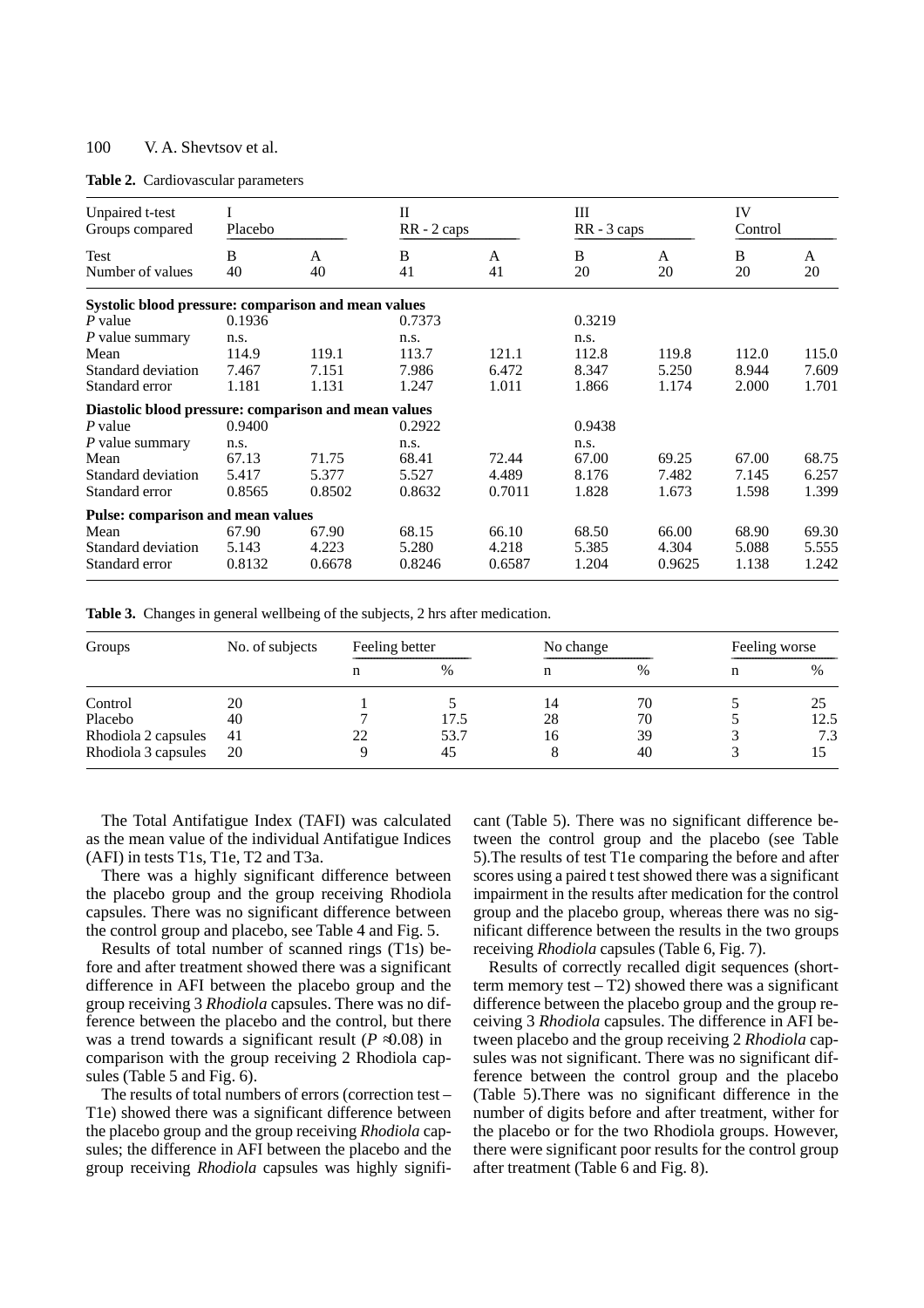|  | Table 2. Cardiovascular parameters |  |
|--|------------------------------------|--|
|--|------------------------------------|--|

| Unpaired t-test<br>Groups compared                   | Placebo |              | $\mathbf{I}$ | RR - 2 caps |        | Ш<br>$RR - 3 \text{ caps}$ |       | IV<br>Control |  |
|------------------------------------------------------|---------|--------------|--------------|-------------|--------|----------------------------|-------|---------------|--|
| Test                                                 | B<br>40 | $\mathsf{A}$ | B<br>41      | A<br>41     | B      | A<br>20                    | B     | A             |  |
| Number of values                                     |         | 40           |              |             | 20     |                            | 20    | 20            |  |
| Systolic blood pressure: comparison and mean values  |         |              |              |             |        |                            |       |               |  |
| P value                                              | 0.1936  |              | 0.7373       |             | 0.3219 |                            |       |               |  |
| P value summary                                      | n.s.    |              | n.s.         |             | n.s.   |                            |       |               |  |
| Mean                                                 | 114.9   | 119.1        | 113.7        | 121.1       | 112.8  | 119.8                      | 112.0 | 115.0         |  |
| Standard deviation                                   | 7.467   | 7.151        | 7.986        | 6.472       | 8.347  | 5.250                      | 8.944 | 7.609         |  |
| Standard error                                       | 1.181   | 1.131        | 1.247        | 1.011       | 1.866  | 1.174                      | 2.000 | 1.701         |  |
| Diastolic blood pressure: comparison and mean values |         |              |              |             |        |                            |       |               |  |
| P value                                              | 0.9400  |              | 0.2922       |             | 0.9438 |                            |       |               |  |
| $P$ value summary                                    | n.s.    |              | n.s.         |             | n.s.   |                            |       |               |  |
| Mean                                                 | 67.13   | 71.75        | 68.41        | 72.44       | 67.00  | 69.25                      | 67.00 | 68.75         |  |
| Standard deviation                                   | 5.417   | 5.377        | 5.527        | 4.489       | 8.176  | 7.482                      | 7.145 | 6.257         |  |
| Standard error                                       | 0.8565  | 0.8502       | 0.8632       | 0.7011      | 1.828  | 1.673                      | 1.598 | 1.399         |  |
| <b>Pulse: comparison and mean values</b>             |         |              |              |             |        |                            |       |               |  |
| Mean                                                 | 67.90   | 67.90        | 68.15        | 66.10       | 68.50  | 66.00                      | 68.90 | 69.30         |  |
| Standard deviation                                   | 5.143   | 4.223        | 5.280        | 4.218       | 5.385  | 4.304                      | 5.088 | 5.555         |  |
| Standard error                                       | 0.8132  | 0.6678       | 0.8246       | 0.6587      | 1.204  | 0.9625                     | 1.138 | 1.242         |  |

**Table 3.** Changes in general wellbeing of the subjects, 2 hrs after medication.

| Groups              | No. of subjects | Feeling better |      | No change |    | Feeling worse |               |
|---------------------|-----------------|----------------|------|-----------|----|---------------|---------------|
|                     |                 |                | %    |           | %  | n             | $\frac{0}{0}$ |
| Control             | 20              |                |      | 14        | 70 |               | 25            |
| Placebo             | 40              |                | 17.5 | 28        | 70 |               | 12.5          |
| Rhodiola 2 capsules | 41              | 22             | 53.7 | 16        | 39 |               | 7.3           |
| Rhodiola 3 capsules | 20              |                | 45   | Ω         | 40 |               |               |

The Total Antifatigue Index (TAFI) was calculated as the mean value of the individual Antifatigue Indices (AFI) in tests T1s, T1e, T2 and T3a.

There was a highly significant difference between the placebo group and the group receiving Rhodiola capsules. There was no significant difference between the control group and placebo, see Table 4 and Fig. 5.

Results of total number of scanned rings (T1s) before and after treatment showed there was a significant difference in AFI between the placebo group and the group receiving 3 *Rhodiola* capsules. There was no difference between the placebo and the control, but there was a trend towards a significant result  $(P \t 0.08)$  in comparison with the group receiving 2 Rhodiola capsules (Table 5 and Fig. 6).

The results of total numbers of errors (correction test – T1e) showed there was a significant difference between the placebo group and the group receiving *Rhodiola* capsules; the difference in AFI between the placebo and the group receiving *Rhodiola* capsules was highly signifi-

cant (Table 5). There was no significant difference between the control group and the placebo (see Table 5).The results of test T1e comparing the before and after scores using a paired t test showed there was a significant impairment in the results after medication for the control group and the placebo group, whereas there was no significant difference between the results in the two groups receiving *Rhodiola* capsules (Table 6, Fig. 7).

Results of correctly recalled digit sequences (shortterm memory test  $- T2$ ) showed there was a significant difference between the placebo group and the group receiving 3 *Rhodiola* capsules. The difference in AFI between placebo and the group receiving 2 *Rhodiola* capsules was not significant. There was no significant difference between the control group and the placebo (Table 5).There was no significant difference in the number of digits before and after treatment, wither for the placebo or for the two Rhodiola groups. However, there were significant poor results for the control group after treatment (Table 6 and Fig. 8).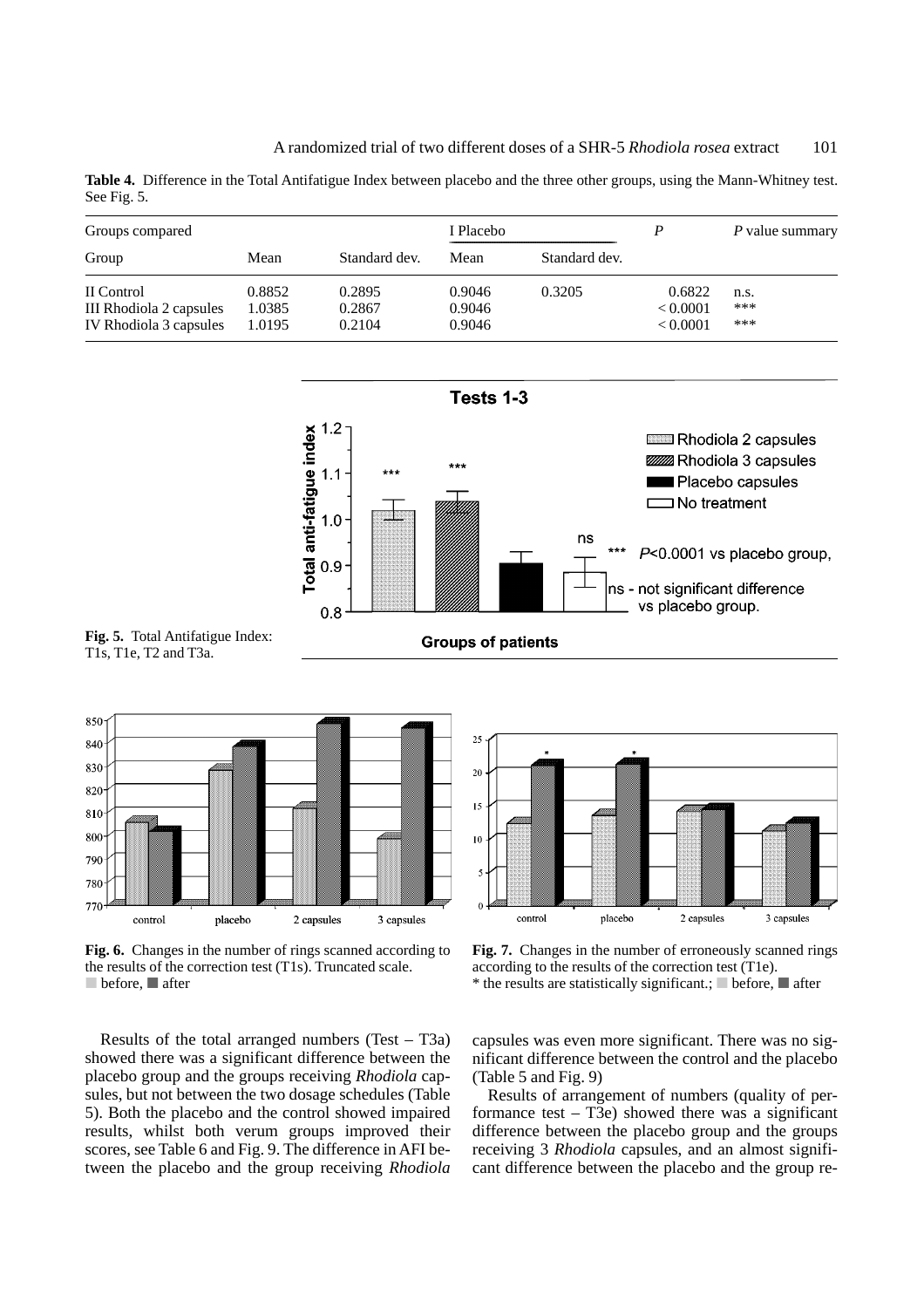**Table 4.** Difference in the Total Antifatigue Index between placebo and the three other groups, using the Mann-Whitney test. See Fig. 5.

| Groups compared                       |                  |                  | I Placebo        |               |                    | P value summary |
|---------------------------------------|------------------|------------------|------------------|---------------|--------------------|-----------------|
| Group                                 | Mean             | Standard dev.    | Mean             | Standard dev. |                    |                 |
| II Control<br>III Rhodiola 2 capsules | 0.8852<br>1.0385 | 0.2895<br>0.2867 | 0.9046<br>0.9046 | 0.3205        | 0.6822<br>< 0.0001 | n.s.<br>***     |
| IV Rhodiola 3 capsules                | 1.0195           | 0.2104           | 0.9046           |               | < 0.0001           | ***             |



**Fig. 5.** Total Antifatigue Index: T1s, T1e, T2 and T3a.

850 840 830 820 810 800 790 780 770 placebo control 2 capsules 3 capsules

**Fig. 6.** Changes in the number of rings scanned according to the results of the correction test (T1s). Truncated scale.  $\Box$  before,  $\Box$  after



Fig. 7. Changes in the number of erroneously scanned rings according to the results of the correction test (T1e). \* the results are statistically significant.;  $\blacksquare$  before,  $\blacksquare$  after

Results of the total arranged numbers (Test – T3a) showed there was a significant difference between the placebo group and the groups receiving *Rhodiola* capsules, but not between the two dosage schedules (Table 5). Both the placebo and the control showed impaired results, whilst both verum groups improved their scores, see Table 6 and Fig. 9. The difference in AFI between the placebo and the group receiving *Rhodiola*

capsules was even more significant. There was no significant difference between the control and the placebo (Table 5 and Fig. 9)

Results of arrangement of numbers (quality of performance test  $-$  T3e) showed there was a significant difference between the placebo group and the groups receiving 3 *Rhodiola* capsules, and an almost significant difference between the placebo and the group re-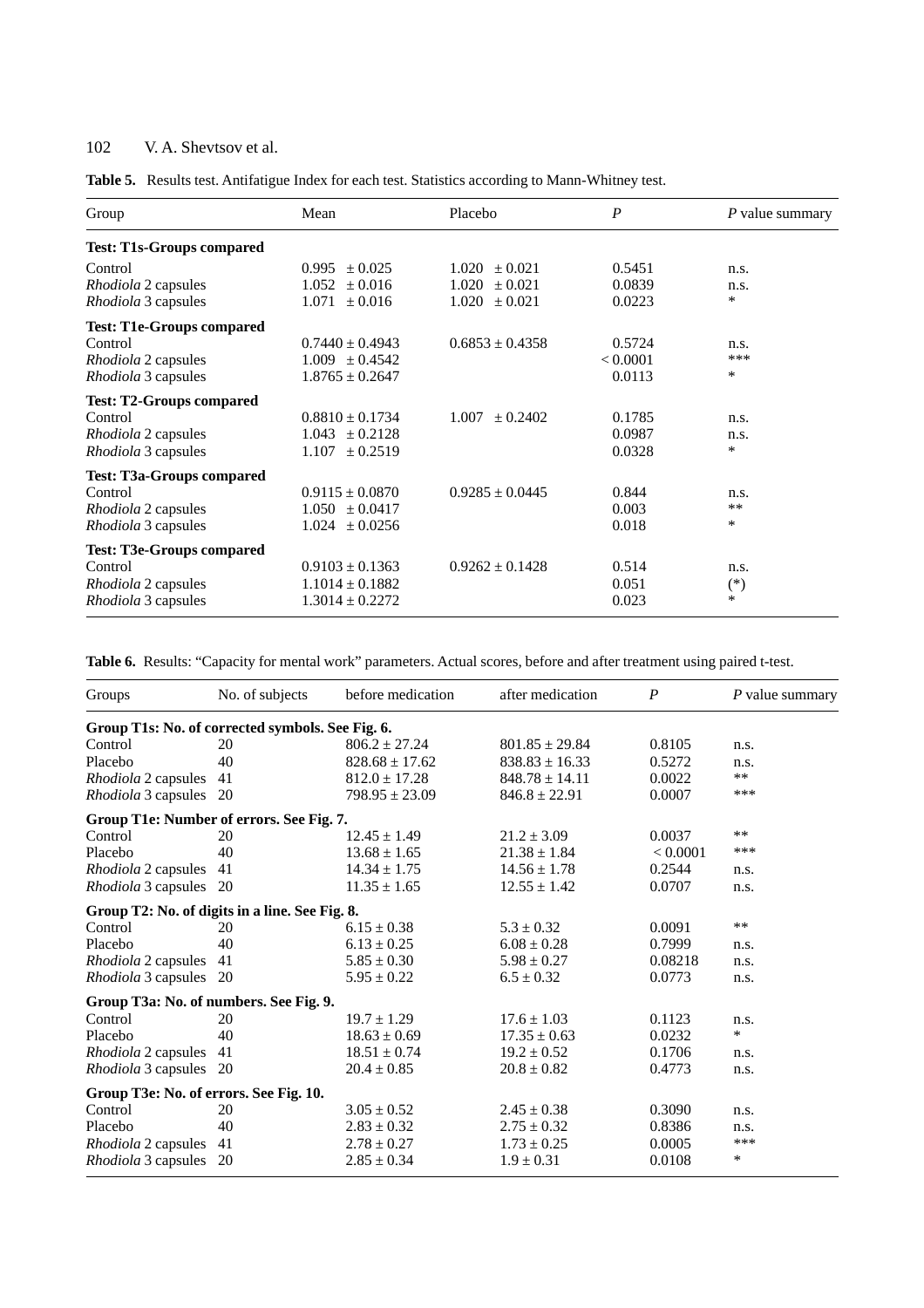| Group                                                                                                  | Mean                                                              | Placebo                                                        | $\boldsymbol{P}$             | P value summary         |
|--------------------------------------------------------------------------------------------------------|-------------------------------------------------------------------|----------------------------------------------------------------|------------------------------|-------------------------|
| <b>Test: T1s-Groups compared</b>                                                                       |                                                                   |                                                                |                              |                         |
| Control<br>Rhodiola 2 capsules<br><i>Rhodiola</i> 3 capsules                                           | ± 0.025<br>0.995<br>± 0.016<br>1.052<br>± 0.016<br>1.071          | $1.020 \pm 0.021$<br>1.020<br>$\pm 0.021$<br>$1.020 \pm 0.021$ | 0.5451<br>0.0839<br>0.0223   | n.s.<br>n.s.<br>$\ast$  |
| <b>Test: T1e-Groups compared</b><br>Control<br>Rhodiola 2 capsules<br><i>Rhodiola</i> 3 capsules       | $0.7440 \pm 0.4943$<br>$1.009 \pm 0.4542$<br>$1.8765 \pm 0.2647$  | $0.6853 + 0.4358$                                              | 0.5724<br>< 0.0001<br>0.0113 | n.s.<br>***<br>$\ast$   |
| <b>Test: T2-Groups compared</b><br>Control<br><i>Rhodiola</i> 2 capsules<br><i>Rhodiola</i> 3 capsules | $0.8810 \pm 0.1734$<br>± 0.2128<br>1.043<br>± 0.2519<br>1.107     | 1.007<br>$\pm 0.2402$                                          | 0.1785<br>0.0987<br>0.0328   | n.s.<br>n.s.<br>$\star$ |
| <b>Test: T3a-Groups compared</b><br>Control<br>Rhodiola 2 capsules<br>Rhodiola 3 capsules              | $0.9115 \pm 0.0870$<br>$1.050 \pm 0.0417$<br>1.024<br>± 0.0256    | $0.9285 \pm 0.0445$                                            | 0.844<br>0.003<br>0.018      | n.s.<br>$* *$<br>$\ast$ |
| <b>Test: T3e-Groups compared</b><br>Control<br><i>Rhodiola</i> 2 capsules<br>Rhodiola 3 capsules       | $0.9103 \pm 0.1363$<br>$1.1014 \pm 0.1882$<br>$1.3014 \pm 0.2272$ | $0.9262 \pm 0.1428$                                            | 0.514<br>0.051<br>0.023      | n.s.<br>$(*)$<br>$\ast$ |

**Table 6.** Results: "Capacity for mental work" parameters. Actual scores, before and after treatment using paired t-test.

| Groups                                           | No. of subjects | before medication  | after medication   | $\boldsymbol{P}$ | $P$ value summary |
|--------------------------------------------------|-----------------|--------------------|--------------------|------------------|-------------------|
| Group T1s: No. of corrected symbols. See Fig. 6. |                 |                    |                    |                  |                   |
| Control                                          | 20              | $806.2 \pm 27.24$  | $801.85 \pm 29.84$ | 0.8105           | n.s.              |
| Placebo                                          | 40              | $828.68 \pm 17.62$ | $838.83 \pm 16.33$ | 0.5272           | n.s.              |
| Rhodiola 2 capsules                              | 41              | $812.0 \pm 17.28$  | $848.78 \pm 14.11$ | 0.0022           | $***$             |
| Rhodiola 3 capsules 20                           |                 | $798.95 \pm 23.09$ | $846.8 \pm 22.91$  | 0.0007           | ***               |
| Group T1e: Number of errors. See Fig. 7.         |                 |                    |                    |                  |                   |
| Control                                          | 20              | $12.45 \pm 1.49$   | $21.2 \pm 3.09$    | 0.0037           | **                |
| Placebo                                          | 40              | $13.68 \pm 1.65$   | $21.38 \pm 1.84$   | < 0.0001         | ***               |
| Rhodiola 2 capsules                              | 41              | $14.34 \pm 1.75$   | $14.56 \pm 1.78$   | 0.2544           | n.s.              |
| <i>Rhodiola</i> 3 capsules                       | 20              | $11.35 \pm 1.65$   | $12.55 \pm 1.42$   | 0.0707           | n.s.              |
| Group T2: No. of digits in a line. See Fig. 8.   |                 |                    |                    |                  |                   |
| Control                                          | 20              | $6.15 \pm 0.38$    | $5.3 \pm 0.32$     | 0.0091           | $\ast$ $\ast$     |
| Placebo                                          | 40              | $6.13 \pm 0.25$    | $6.08 \pm 0.28$    | 0.7999           | n.s.              |
| Rhodiola 2 capsules                              | 41              | $5.85 \pm 0.30$    | $5.98 \pm 0.27$    | 0.08218          | n.s.              |
| Rhodiola 3 capsules                              | -20             | $5.95 \pm 0.22$    | $6.5 \pm 0.32$     | 0.0773           | n.s.              |
| Group T3a: No. of numbers. See Fig. 9.           |                 |                    |                    |                  |                   |
| Control                                          | 20              | $19.7 \pm 1.29$    | $17.6 \pm 1.03$    | 0.1123           | n.s.              |
| Placebo                                          | 40              | $18.63 \pm 0.69$   | $17.35 \pm 0.63$   | 0.0232           | $\ast$            |
| <i>Rhodiola</i> 2 capsules                       | 41              | $18.51 \pm 0.74$   | $19.2 \pm 0.52$    | 0.1706           | n.s.              |
| <i>Rhodiola</i> 3 capsules                       | -20             | $20.4 \pm 0.85$    | $20.8 \pm 0.82$    | 0.4773           | n.s.              |
| Group T3e: No. of errors. See Fig. 10.           |                 |                    |                    |                  |                   |
| Control                                          | 20              | $3.05 \pm 0.52$    | $2.45 \pm 0.38$    | 0.3090           | n.s.              |
| Placebo                                          | 40              | $2.83 \pm 0.32$    | $2.75 \pm 0.32$    | 0.8386           | n.s.              |
| Rhodiola 2 capsules                              | 41              | $2.78 \pm 0.27$    | $1.73 \pm 0.25$    | 0.0005           | $***$             |
| Rhodiola 3 capsules                              | 20              | $2.85 \pm 0.34$    | $1.9 \pm 0.31$     | 0.0108           | $\ast$            |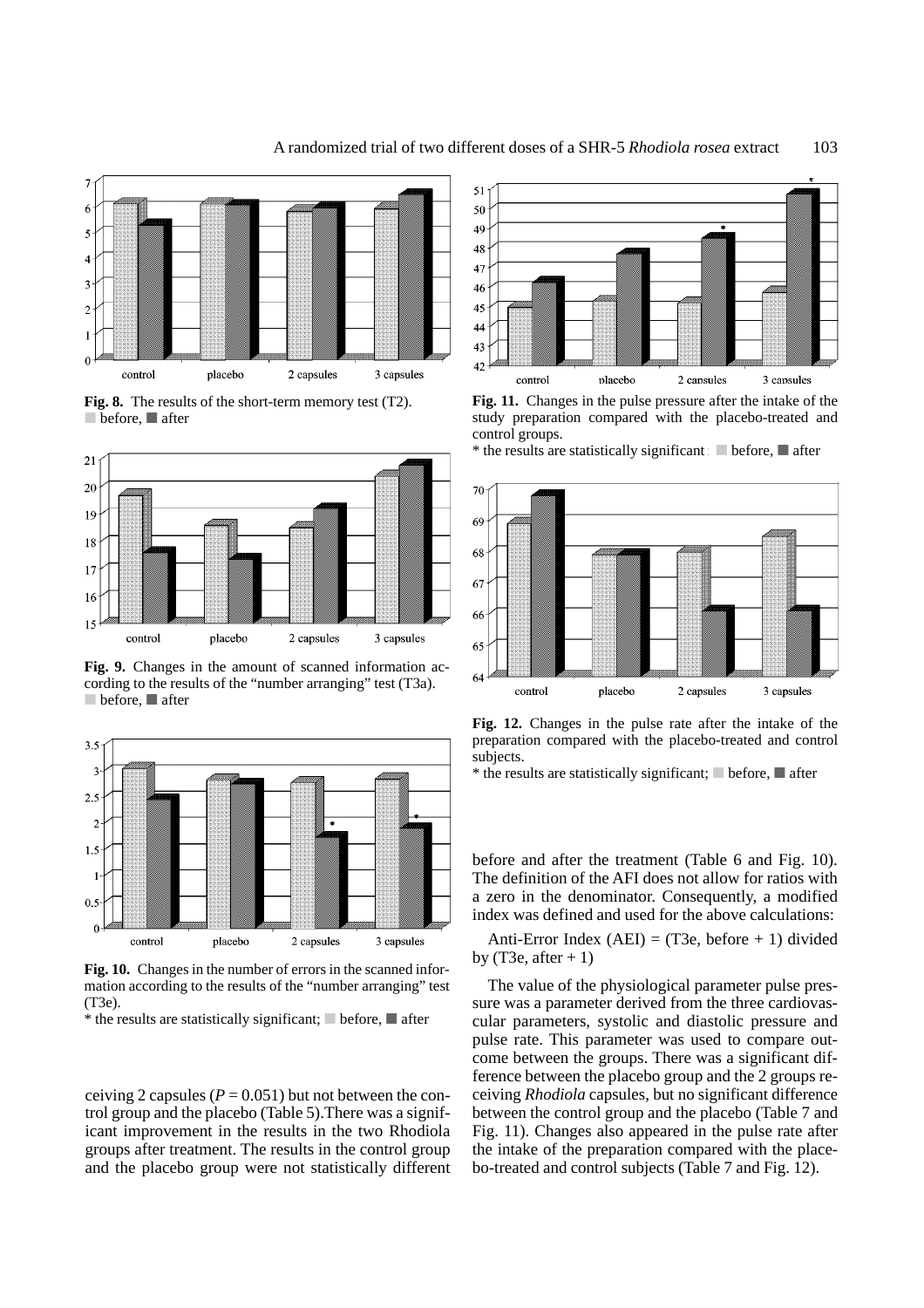

**Fig. 8.** The results of the short-term memory test (T2).  $\blacksquare$  before,  $\blacksquare$  after



**Fig. 9.** Changes in the amount of scanned information according to the results of the "number arranging" test (T3a).  $\Box$  before,  $\Box$  after



**Fig. 10.** Changes in the number of errors in the scanned information according to the results of the "number arranging" test (T3e).

\* the results are statistically significant;  $\Box$  before,  $\Box$  after

ceiving 2 capsules  $(P = 0.051)$  but not between the control group and the placebo (Table 5).There was a significant improvement in the results in the two Rhodiola groups after treatment. The results in the control group and the placebo group were not statistically different



**Fig. 11.** Changes in the pulse pressure after the intake of the study preparation compared with the placebo-treated and control groups.

 $*$  the results are statistically significant; before,  $\blacksquare$  after



**Fig. 12.** Changes in the pulse rate after the intake of the preparation compared with the placebo-treated and control subjects.

\* the results are statistically significant;  $\blacksquare$  before,  $\blacksquare$  after

before and after the treatment (Table 6 and Fig. 10). The definition of the AFI does not allow for ratios with a zero in the denominator. Consequently, a modified index was defined and used for the above calculations:

Anti-Error Index (AEI) = (T3e, before  $+1$ ) divided by (T3e, after  $+1$ )

The value of the physiological parameter pulse pressure was a parameter derived from the three cardiovascular parameters, systolic and diastolic pressure and pulse rate. This parameter was used to compare outcome between the groups. There was a significant difference between the placebo group and the 2 groups receiving *Rhodiola* capsules, but no significant difference between the control group and the placebo (Table 7 and Fig. 11). Changes also appeared in the pulse rate after the intake of the preparation compared with the placebo-treated and control subjects (Table 7 and Fig. 12).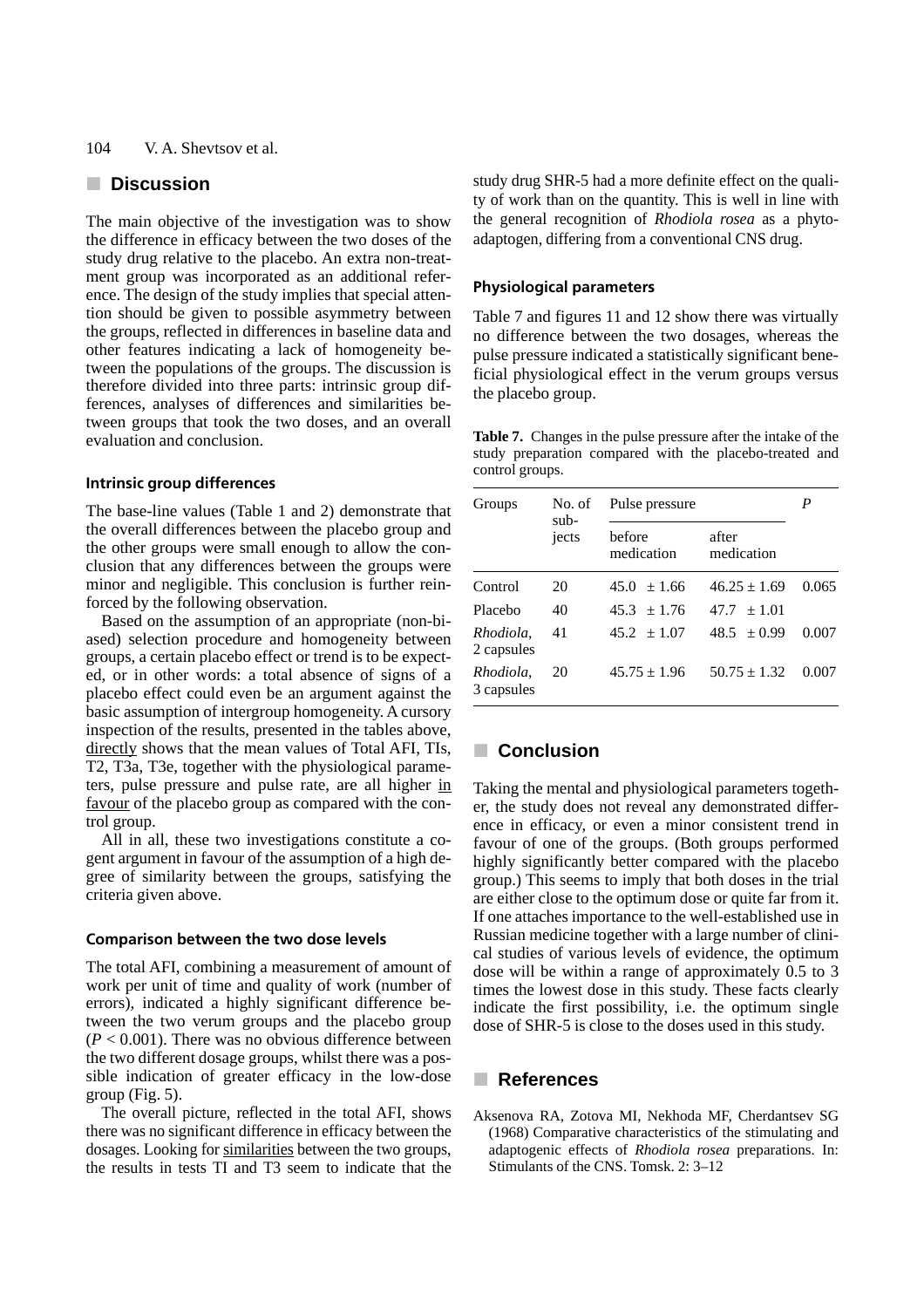## **n** Discussion

The main objective of the investigation was to show the difference in efficacy between the two doses of the study drug relative to the placebo. An extra non-treatment group was incorporated as an additional reference. The design of the study implies that special attention should be given to possible asymmetry between the groups, reflected in differences in baseline data and other features indicating a lack of homogeneity between the populations of the groups. The discussion is therefore divided into three parts: intrinsic group differences, analyses of differences and similarities between groups that took the two doses, and an overall evaluation and conclusion.

## **Intrinsic group differences**

The base-line values (Table 1 and 2) demonstrate that the overall differences between the placebo group and the other groups were small enough to allow the conclusion that any differences between the groups were minor and negligible. This conclusion is further reinforced by the following observation.

Based on the assumption of an appropriate (non-biased) selection procedure and homogeneity between groups, a certain placebo effect or trend is to be expected, or in other words: a total absence of signs of a placebo effect could even be an argument against the basic assumption of intergroup homogeneity. A cursory inspection of the results, presented in the tables above, directly shows that the mean values of Total AFI, TIs, T2, T3a, T3e, together with the physiological parameters, pulse pressure and pulse rate, are all higher in favour of the placebo group as compared with the control group.

All in all, these two investigations constitute a cogent argument in favour of the assumption of a high degree of similarity between the groups, satisfying the criteria given above.

#### **Comparison between the two dose levels**

The total AFI, combining a measurement of amount of work per unit of time and quality of work (number of errors), indicated a highly significant difference between the two verum groups and the placebo group  $(P < 0.001)$ . There was no obvious difference between the two different dosage groups, whilst there was a possible indication of greater efficacy in the low-dose group (Fig. 5).

The overall picture, reflected in the total AFI, shows there was no significant difference in efficacy between the dosages. Looking for similarities between the two groups, the results in tests TI and T3 seem to indicate that the study drug SHR-5 had a more definite effect on the quality of work than on the quantity. This is well in line with the general recognition of *Rhodiola rosea* as a phytoadaptogen, differing from a conventional CNS drug.

#### **Physiological parameters**

Table 7 and figures 11 and 12 show there was virtually no difference between the two dosages, whereas the pulse pressure indicated a statistically significant beneficial physiological effect in the verum groups versus the placebo group.

**Table 7.** Changes in the pulse pressure after the intake of the study preparation compared with the placebo-treated and control groups.

| Groups                  | No. of<br>sub-<br>jects | Pulse pressure       |                     | P     |
|-------------------------|-------------------------|----------------------|---------------------|-------|
|                         |                         | before<br>medication | after<br>medication |       |
| Control                 | 20                      | $45.0 \pm 1.66$      | $46.25 + 1.69$      | 0.065 |
| Placebo                 | 40                      | $45.3 + 1.76$        | $47.7 + 1.01$       |       |
| Rhodiola.<br>2 capsules | 41                      | $45.2 + 1.07$        | $48.5 + 0.99$       | 0.007 |
| Rhodiola,<br>3 capsules | 20                      | $45.75 \pm 1.96$     | $50.75 + 1.32$      | 0.007 |

# **E** Conclusion

Taking the mental and physiological parameters together, the study does not reveal any demonstrated difference in efficacy, or even a minor consistent trend in favour of one of the groups. (Both groups performed highly significantly better compared with the placebo group.) This seems to imply that both doses in the trial are either close to the optimum dose or quite far from it. If one attaches importance to the well-established use in Russian medicine together with a large number of clinical studies of various levels of evidence, the optimum dose will be within a range of approximately 0.5 to 3 times the lowest dose in this study. These facts clearly indicate the first possibility, i.e. the optimum single dose of SHR-5 is close to the doses used in this study.

## j **References**

Aksenova RA, Zotova MI, Nekhoda MF, Cherdantsev SG (1968) Comparative characteristics of the stimulating and adaptogenic effects of *Rhodiola rosea* preparations. In: Stimulants of the CNS. Tomsk. 2: 3–12